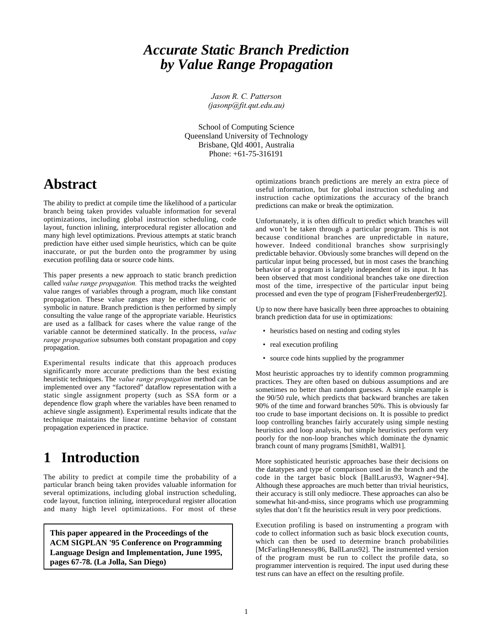# *Accurate Static Branch Prediction by Value Range Propagation*

*Jason R. C. Patterson (jasonp@fit.qut.edu.au)*

School of Computing Science Queensland University of Technology Brisbane, Qld 4001, Australia Phone: +61-75-316191

# **Abstract**

The ability to predict at compile time the likelihood of a particular branch being taken provides valuable information for several optimizations, including global instruction scheduling, code layout, function inlining, interprocedural register allocation and many high level optimizations. Previous attempts at static branch prediction have either used simple heuristics, which can be quite inaccurate, or put the burden onto the programmer by using execution profiling data or source code hints.

This paper presents a new approach to static branch prediction called *value range propagation.* This method tracks the weighted value ranges of variables through a program, much like constant propagation. These value ranges may be either numeric or symbolic in nature. Branch prediction is then performed by simply consulting the value range of the appropriate variable. Heuristics are used as a fallback for cases where the value range of the variable cannot be determined statically. In the process, *value range propagation* subsumes both constant propagation and copy propagation.

Experimental results indicate that this approach produces significantly more accurate predictions than the best existing heuristic techniques. The *value range propagation* method can be implemented over any "factored" dataflow representation with a static single assignment property (such as SSA form or a dependence flow graph where the variables have been renamed to achieve single assignment). Experimental results indicate that the technique maintains the linear runtime behavior of constant propagation experienced in practice.

# **1 Introduction**

The ability to predict at compile time the probability of a particular branch being taken provides valuable information for several optimizations, including global instruction scheduling, code layout, function inlining, interprocedural register allocation and many high level optimizations. For most of these

**This paper appeared in the Proceedings of the ACM SIGPLAN '95 Conference on Programming Language Design and Implementation, June 1995, pages 67-78. (La Jolla, San Diego)**

optimizations branch predictions are merely an extra piece of useful information, but for global instruction scheduling and instruction cache optimizations the accuracy of the branch predictions can make or break the optimization.

Unfortunately, it is often difficult to predict which branches will and won't be taken through a particular program. This is not because conditional branches are unpredictable in nature, however. Indeed conditional branches show surprisingly predictable behavior. Obviously some branches will depend on the particular input being processed, but in most cases the branching behavior of a program is largely independent of its input. It has been observed that most conditional branches take one direction most of the time, irrespective of the particular input being processed and even the type of program [FisherFreudenberger92].

Up to now there have basically been three approaches to obtaining branch prediction data for use in optimizations:

- heuristics based on nesting and coding styles
- real execution profiling
- source code hints supplied by the programmer

Most heuristic approaches try to identify common programming practices. They are often based on dubious assumptions and are sometimes no better than random guesses. A simple example is the 90/50 rule, which predicts that backward branches are taken 90% of the time and forward branches 50%. This is obviously far too crude to base important decisions on. It is possible to predict loop controlling branches fairly accurately using simple nesting heuristics and loop analysis, but simple heuristics perform very poorly for the non-loop branches which dominate the dynamic branch count of many programs [Smith81, Wall91].

More sophisticated heuristic approaches base their decisions on the datatypes and type of comparison used in the branch and the code in the target basic block [BallLarus93, Wagner+94]. Although these approaches are much better than trivial heuristics, their accuracy is still only mediocre. These approaches can also be somewhat hit-and-miss, since programs which use programming styles that don't fit the heuristics result in very poor predictions.

Execution profiling is based on instrumenting a program with code to collect information such as basic block execution counts, which can then be used to determine branch probabilities [McFarlingHennessy86, BallLarus92]. The instrumented version of the program must be run to collect the profile data, so programmer intervention is required. The input used during these test runs can have an effect on the resulting profile.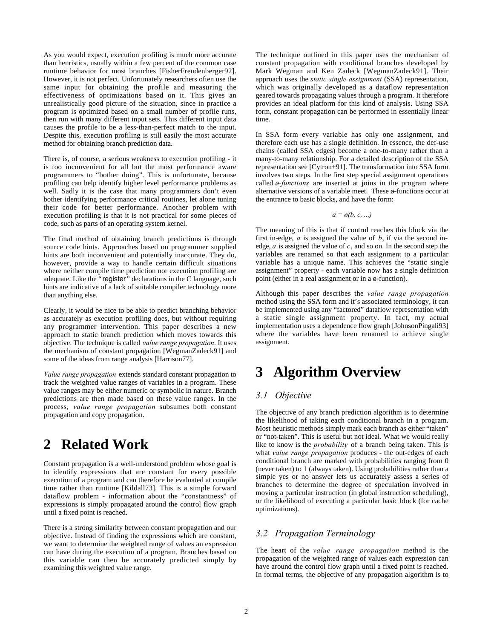As you would expect, execution profiling is much more accurate than heuristics, usually within a few percent of the common case runtime behavior for most branches [FisherFreudenberger92]. However, it is not perfect. Unfortunately researchers often use the same input for obtaining the profile and measuring the effectiveness of optimizations based on it. This gives an unrealistically good picture of the situation, since in practice a program is optimized based on a small number of profile runs, then run with many different input sets. This different input data causes the profile to be a less-than-perfect match to the input. Despite this, execution profiling is still easily the most accurate method for obtaining branch prediction data.

There is, of course, a serious weakness to execution profiling - it is too inconvenient for all but the most performance aware programmers to "bother doing". This is unfortunate, because profiling can help identify higher level performance problems as well. Sadly it is the case that many programmers don't even bother identifying performance critical routines, let alone tuning their code for better performance. Another problem with execution profiling is that it is not practical for some pieces of code, such as parts of an operating system kernel.

The final method of obtaining branch predictions is through source code hints. Approaches based on programmer supplied hints are both inconvenient and potentially inaccurate. They do, however, provide a way to handle certain difficult situations where neither compile time prediction nor execution profiling are adequate. Like the "reqister" declarations in the C language, such hints are indicative of a lack of suitable compiler technology more than anything else.

Clearly, it would be nice to be able to predict branching behavior as accurately as execution profiling does, but without requiring any programmer intervention. This paper describes a new approach to static branch prediction which moves towards this objective. The technique is called *value range propagation*. It uses the mechanism of constant propagation [WegmanZadeck91] and some of the ideas from range analysis [Harrison77].

*Value range propagation* extends standard constant propagation to track the weighted value ranges of variables in a program. These value ranges may be either numeric or symbolic in nature. Branch predictions are then made based on these value ranges. In the process, *value range propagation* subsumes both constant propagation and copy propagation.

# **2 Related Work**

Constant propagation is a well-understood problem whose goal is to identify expressions that are constant for every possible execution of a program and can therefore be evaluated at compile time rather than runtime [Kildall73]. This is a simple forward dataflow problem - information about the "constantness" of expressions is simply propagated around the control flow graph until a fixed point is reached.

There is a strong similarity between constant propagation and our objective. Instead of finding the expressions which are constant, we want to determine the weighted range of values an expression can have during the execution of a program. Branches based on this variable can then be accurately predicted simply by examining this weighted value range.

The technique outlined in this paper uses the mechanism of constant propagation with conditional branches developed by Mark Wegman and Ken Zadeck [WegmanZadeck91]. Their approach uses the *static single assignment* (SSA) representation, which was originally developed as a dataflow representation geared towards propagating values through a program. It therefore provides an ideal platform for this kind of analysis. Using SSA form, constant propagation can be performed in essentially linear time.

In SSA form every variable has only one assignment, and therefore each use has a single definition. In essence, the def-use chains (called SSA edges) become a one-to-many rather than a many-to-many relationship. For a detailed description of the SSA representation see [Cytron+91]. The transformation into SSA form involves two steps. In the first step special assignment operations called *ø-functions* are inserted at joins in the program where alternative versions of a variable meet. These ø-functions occur at the entrance to basic blocks, and have the form:

$$
a = \mathfrak{o}(b, c, \ldots)
$$

The meaning of this is that if control reaches this block via the first in-edge, *a* is assigned the value of *b*, if via the second inedge, *a* is assigned the value of *c*, and so on. In the second step the variables are renamed so that each assignment to a particular variable has a unique name. This achieves the "static single assignment" property - each variable now has a single definition point (either in a real assignment or in a ø-function).

Although this paper describes the *value range propagation* method using the SSA form and it's associated terminology, it can be implemented using any "factored" dataflow representation with a static single assignment property. In fact, my actual implementation uses a dependence flow graph [JohnsonPingali93] where the variables have been renamed to achieve single assignment.

# **3 Algorithm Overview**

## *3.1 Objective*

The objective of any branch prediction algorithm is to determine the likelihood of taking each conditional branch in a program. Most heuristic methods simply mark each branch as either "taken" or "not-taken". This is useful but not ideal. What we would really like to know is the *probability* of a branch being taken. This is what *value range propagation* produces - the out-edges of each conditional branch are marked with probabilities ranging from 0 (never taken) to 1 (always taken). Using probabilities rather than a simple yes or no answer lets us accurately assess a series of branches to determine the degree of speculation involved in moving a particular instruction (in global instruction scheduling), or the likelihood of executing a particular basic block (for cache optimizations).

### *3.2 Propagation Terminology*

The heart of the *value range propagation* method is the propagation of the weighted range of values each expression can have around the control flow graph until a fixed point is reached. In formal terms, the objective of any propagation algorithm is to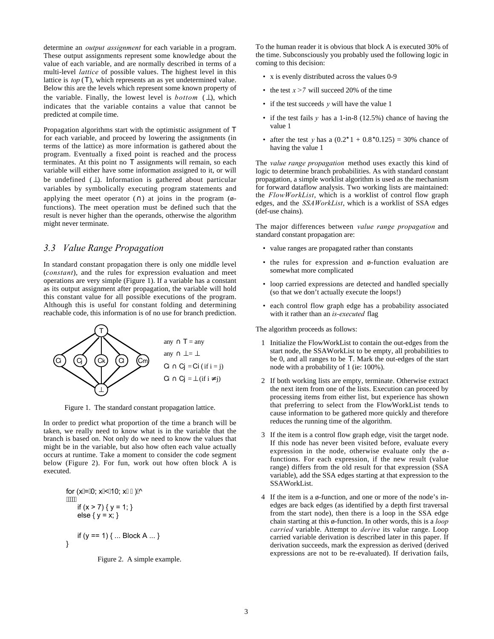determine an *output assignment* for each variable in a program. These output assignments represent some knowledge about the value of each variable, and are normally described in terms of a multi-level *lattice* of possible values. The highest level in this lattice is *top* (T), which represents an as yet undetermined value. Below this are the levels which represent some known property of the variable. Finally, the lowest level is  $bottom$  ( $\perp$ ), which indicates that the variable contains a value that cannot be predicted at compile time.

Propagation algorithms start with the optimistic assignment of T for each variable, and proceed by lowering the assignments (in terms of the lattice) as more information is gathered about the program. Eventually a fixed point is reached and the process terminates. At this point no T assignments will remain, so each variable will either have some information assigned to it, or will be undefined (⊥). Information is gathered about particular variables by symbolically executing program statements and applying the meet operator ( $\cap$ ) at joins in the program (øfunctions). The meet operation must be defined such that the result is never higher than the operands, otherwise the algorithm might never terminate.

## *3.3 Value Range Propagation*

In standard constant propagation there is only one middle level (*constant*), and the rules for expression evaluation and meet operations are very simple (Figure 1). If a variable has a constant as its output assignment after propagation, the variable will hold this constant value for all possible executions of the program. Although this is useful for constant folding and determining reachable code, this information is of no use for branch prediction.



Figure 1. The standard constant propagation lattice.

In order to predict what proportion of the time a branch will be taken, we really need to know what is in the variable that the branch is based on. Not only do we need to know the values that might be in the variable, but also how often each value actually occurs at runtime. Take a moment to consider the code segment below (Figure 2). For fun, work out how often block A is executed.

for (x
$$
\angle 4\angle 40
$$
; x $\angle 400$ ; x $\angle 400$ ;  
\n $\angle 40000$   
\nif (x > 7) { y = 1; }  
\nelse { y = x; }  
\nif (y == 1) { ... Block A ... }

Figure 2. A simple example.

To the human reader it is obvious that block A is executed 30% of the time. Subconsciously you probably used the following logic in coming to this decision:

- x is evenly distributed across the values 0-9
- the test  $x > 7$  will succeed 20% of the time
- if the test succeeds *y* will have the value 1
- if the test fails *y* has a 1-in-8 (12.5%) chance of having the value 1
- after the test *y* has a  $(0.2 \times 1 + 0.8 \times 0.125) = 30\%$  chance of having the value 1

The *value range propagation* method uses exactly this kind of logic to determine branch probabilities. As with standard constant propagation, a simple worklist algorithm is used as the mechanism for forward dataflow analysis. Two working lists are maintained: the *FlowWorkList*, which is a worklist of control flow graph edges, and the *SSAWorkList*, which is a worklist of SSA edges (def-use chains).

The major differences between *value range propagation* and standard constant propagation are:

- value ranges are propagated rather than constants
- the rules for expression and ø-function evaluation are somewhat more complicated
- loop carried expressions are detected and handled specially (so that we don't actually execute the loops!)
- each control flow graph edge has a probability associated with it rather than an *is-executed* flag

The algorithm proceeds as follows:

- 1 Initialize the FlowWorkList to contain the out-edges from the start node, the SSAWorkList to be empty, all probabilities to be 0, and all ranges to be T. Mark the out-edges of the start node with a probability of 1 (ie: 100%).
- 2 If both working lists are empty, terminate. Otherwise extract the next item from one of the lists. Execution can proceed by processing items from either list, but experience has shown that preferring to select from the FlowWorkList tends to cause information to be gathered more quickly and therefore reduces the running time of the algorithm.
- 3 If the item is a control flow graph edge, visit the target node. If this node has never been visited before, evaluate every expression in the node, otherwise evaluate only the øfunctions. For each expression, if the new result (value range) differs from the old result for that expression (SSA variable), add the SSA edges starting at that expression to the SSAWorkList.
- 4 If the item is a ø-function, and one or more of the node's inedges are back edges (as identified by a depth first traversal from the start node), then there is a loop in the SSA edge chain starting at this ø-function. In other words, this is a *loop carried* variable. Attempt to *derive* its value range. Loop carried variable derivation is described later in this paper. If derivation succeeds, mark the expression as derived (derived expressions are not to be re-evaluated). If derivation fails,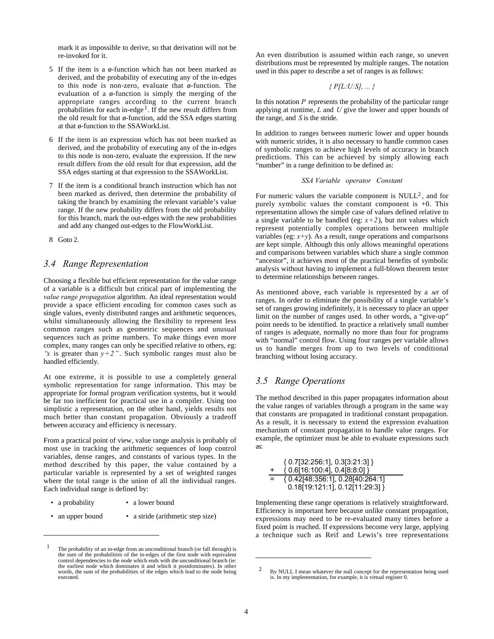mark it as impossible to derive, so that derivation will not be re-invoked for it.

- 5 If the item is a ø-function which has not been marked as derived, and the probability of executing any of the in-edges to this node is non-zero, evaluate that ø-function. The evaluation of a ø-function is simply the merging of the appropriate ranges according to the current branch probabilities for each in-edge<sup>1</sup>. If the new result differs from the old result for that ø-function, add the SSA edges starting at that ø-function to the SSAWorkList.
- 6 If the item is an expression which has not been marked as derived, and the probability of executing any of the in-edges to this node is non-zero, evaluate the expression. If the new result differs from the old result for that expression, add the SSA edges starting at that expression to the SSAWorkList.
- 7 If the item is a conditional branch instruction which has not been marked as derived, then determine the probability of taking the branch by examining the relevant variable's value range. If the new probability differs from the old probability for this branch, mark the out-edges with the new probabilities and add any changed out-edges to the FlowWorkList.
- 8 Goto 2.

## *3.4 Range Representation*

Choosing a flexible but efficient representation for the value range of a variable is a difficult but critical part of implementing the *value range propagation* algorithm. An ideal representation would provide a space efficient encoding for common cases such as single values, evenly distributed ranges and arithmetic sequences, whilst simultaneously allowing the flexibility to represent less common ranges such as geometric sequences and unusual sequences such as prime numbers. To make things even more complex, many ranges can only be specified relative to others, eg: *"x* is greater than  $y+2$ ". Such symbolic ranges must also be handled efficiently.

At one extreme, it is possible to use a completely general symbolic representation for range information. This may be appropriate for formal program verification systems, but it would be far too inefficient for practical use in a compiler. Using too simplistic a representation, on the other hand, yields results not much better than constant propagation. Obviously a tradeoff between accuracy and efficiency is necessary.

From a practical point of view, value range analysis is probably of most use in tracking the arithmetic sequences of loop control variables, dense ranges, and constants of various types. In the method described by this paper, the value contained by a particular variable is represented by a set of weighted ranges where the total range is the union of all the individual ranges. Each individual range is defined by:

- a probability a lower bound
- an upper bound a stride (arithmetic step size)

An even distribution is assumed within each range, so uneven distributions must be represented by multiple ranges. The notation used in this paper to describe a set of ranges is as follows:

### *{ P[L:U:S], ... }*

In this notation *P* represents the probability of the particular range applying at runtime, *L* and *U* give the lower and upper bounds of the range, and *S* is the stride.

In addition to ranges between numeric lower and upper bounds with numeric strides, it is also necessary to handle common cases of symbolic ranges to achieve high levels of accuracy in branch predictions. This can be achieved by simply allowing each "number" in a range definition to be defined as:

### *SSA Variable operator Constant*

For numeric values the variable component is  $NULL^2$ , and for purely symbolic values the constant component is +0. This representation allows the simple case of values defined relative to a single variable to be handled (eg:  $x+2$ ), but not values which represent potentially complex operations between multiple variables (eg:  $x+y$ ). As a result, range operations and comparisons are kept simple. Although this only allows meaningful operations and comparisons between variables which share a single common "ancestor", it achieves most of the practical benefits of symbolic analysis without having to implement a full-blown theorem tester to determine relationships between ranges.

As mentioned above, each variable is represented by a *set* of ranges. In order to eliminate the possibility of a single variable's set of ranges growing indefinitely, it is necessary to place an upper limit on the number of ranges used. In other words, a "give-up" point needs to be identified. In practice a relatively small number of ranges is adequate, normally no more than four for programs with "normal" control flow. Using four ranges per variable allows us to handle merges from up to two levels of conditional branching without losing accuracy.

## *3.5 Range Operations*

The method described in this paper propagates information about the value ranges of variables through a program in the same way that constants are propagated in traditional constant propagation. As a result, it is necessary to extend the expression evaluation mechanism of constant propagation to handle value ranges. For example, the optimizer must be able to evaluate expressions such as:

|     | $\{ 0.7[32:256:1], 0.3[3:21:3] \}$ |
|-----|------------------------------------|
|     | $\{ 0.6[16:100:4], 0.4[8:8:0] \}$  |
| $=$ | { 0.42[48:356:1], 0.28[40:264:1]   |
|     | $0.18[19:121:1]$ , $0.12[11:29:3]$ |

Implementing these range operations is relatively straightforward. Efficiency is important here because unlike constant propagation, expressions may need to be re-evaluated many times before a fixed point is reached. If expressions become very large, applying a technique such as Reif and Lewis's tree representations

<sup>1</sup> The probability of an in-edge from an unconditional branch (or fall through) is the sum of the probabilities of the in-edges of the first node with equivalent control dependencies to the node which ends with the unconditional branch (ie: the earliest node which dominates it and which it postdominates). In other words, the sum of the probabilities of the edges which lead to the node being executed.

<sup>&</sup>lt;sup>2</sup> By NULL I mean whatever the null concept for the representation being used is. In my implementation, for example, it is virtual register 0.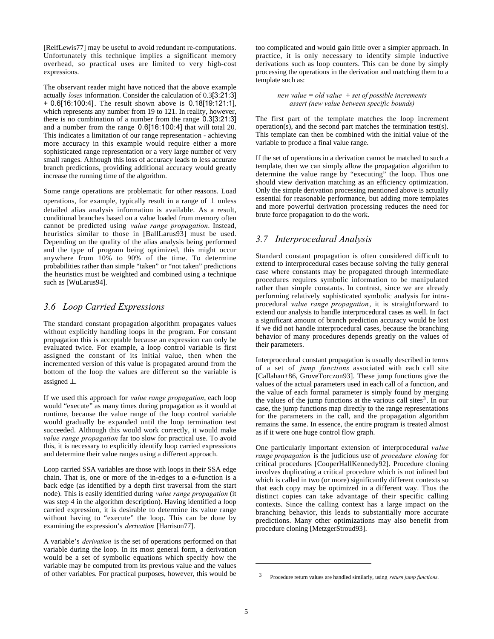[ReifLewis77] may be useful to avoid redundant re-computations. Unfortunately this technique implies a significant memory overhead, so practical uses are limited to very high-cost expressions.

The observant reader might have noticed that the above example actually *loses* information. Consider the calculation of 0.3[3:21:3] + 0.6[16:100:4]. The result shown above is 0.18[19:121:1], which represents any number from 19 to 121. In reality, however, there is no combination of a number from the range 0.3[3:21:3] and a number from the range 0.6[16:100:4] that will total 20. This indicates a limitation of our range representation - achieving more accuracy in this example would require either a more sophisticated range representation or a very large number of very small ranges. Although this loss of accuracy leads to less accurate branch predictions, providing additional accuracy would greatly increase the running time of the algorithm.

Some range operations are problematic for other reasons. Load operations, for example, typically result in a range of  $\perp$  unless detailed alias analysis information is available. As a result, conditional branches based on a value loaded from memory often cannot be predicted using *value range propagation*. Instead, heuristics similar to those in [BallLarus93] must be used. Depending on the quality of the alias analysis being performed and the type of program being optimized, this might occur anywhere from 10% to 90% of the time. To determine probabilities rather than simple "taken" or "not taken" predictions the heuristics must be weighted and combined using a technique such as [WuLarus94].

## *3.6 Loop Carried Expressions*

The standard constant propagation algorithm propagates values without explicitly handling loops in the program. For constant propagation this is acceptable because an expression can only be evaluated twice. For example, a loop control variable is first assigned the constant of its initial value, then when the incremented version of this value is propagated around from the bottom of the loop the values are different so the variable is assigned ⊥.

If we used this approach for *value range propagation*, each loop would "execute" as many times during propagation as it would at runtime, because the value range of the loop control variable would gradually be expanded until the loop termination test succeeded. Although this would work correctly, it would make *value range propagation* far too slow for practical use. To avoid this, it is necessary to explicitly identify loop carried expressions and determine their value ranges using a different approach.

Loop carried SSA variables are those with loops in their SSA edge chain. That is, one or more of the in-edges to a ø-function is a back edge (as identified by a depth first traversal from the start node). This is easily identified during *value range propagation* (it was step 4 in the algorithm description). Having identified a loop carried expression, it is desirable to determine its value range without having to "execute" the loop. This can be done by examining the expression's *derivation* [Harrison77].

A variable's *derivation* is the set of operations performed on that variable during the loop. In its most general form, a derivation would be a set of symbolic equations which specify how the variable may be computed from its previous value and the values of other variables. For practical purposes, however, this would be too complicated and would gain little over a simpler approach. In practice, it is only necessary to identify simple inductive derivations such as loop counters. This can be done by simply processing the operations in the derivation and matching them to a template such as:

> *new value = old value + set of possible increments assert (new value between specific bounds)*

The first part of the template matches the loop increment operation(s), and the second part matches the termination test(s). This template can then be combined with the initial value of the variable to produce a final value range.

If the set of operations in a derivation cannot be matched to such a template, then we can simply allow the propagation algorithm to determine the value range by "executing" the loop. Thus one should view derivation matching as an efficiency optimization. Only the simple derivation processing mentioned above is actually essential for reasonable performance, but adding more templates and more powerful derivation processing reduces the need for brute force propagation to do the work.

## *3.7 Interprocedural Analysis*

Standard constant propagation is often considered difficult to extend to interprocedural cases because solving the fully general case where constants may be propagated through intermediate procedures requires symbolic information to be manipulated rather than simple constants. In contrast, since we are already performing relatively sophisticated symbolic analysis for intraprocedural *value range propagation*, it is straightforward to extend our analysis to handle interprocedural cases as well. In fact a significant amount of branch prediction accuracy would be lost if we did not handle interprocedural cases, because the branching behavior of many procedures depends greatly on the values of their parameters.

Interprocedural constant propagation is usually described in terms of a set of *jump functions* associated with each call site [Callahan+86, GroveTorczon93]. These jump functions give the values of the actual parameters used in each call of a function, and the value of each formal parameter is simply found by merging the values of the jump functions at the various call sites<sup>3</sup>. In our case, the jump functions map directly to the range representations for the parameters in the call, and the propagation algorithm remains the same. In essence, the entire program is treated almost as if it were one huge control flow graph.

One particularly important extension of interprocedural *value range propagation* is the judicious use of *procedure cloning* for critical procedures [CooperHallKennedy92]. Procedure cloning involves duplicating a critical procedure which is not inlined but which is called in two (or more) significantly different contexts so that each copy may be optimized in a different way. Thus the distinct copies can take advantage of their specific calling contexts. Since the calling context has a large impact on the branching behavior, this leads to substantially more accurate predictions. Many other optimizations may also benefit from procedure cloning [MetzgerStroud93].

<sup>3</sup> Procedure return values are handled similarly, using *return jump functions*.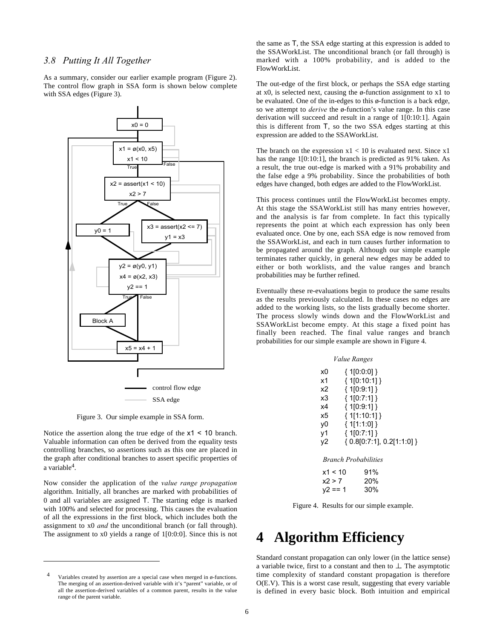## *3.8 Putting It All Together*

As a summary, consider our earlier example program (Figure 2). The control flow graph in SSA form is shown below complete with SSA edges (Figure 3).



Figure 3. Our simple example in SSA form.

Notice the assertion along the true edge of the x1 < 10 branch. Valuable information can often be derived from the equality tests controlling branches, so assertions such as this one are placed in the graph after conditional branches to assert specific properties of a variable4.

Now consider the application of the *value range propagation* algorithm. Initially, all branches are marked with probabilities of 0 and all variables are assigned T. The starting edge is marked with 100% and selected for processing. This causes the evaluation of all the expressions in the first block, which includes both the assignment to x0 *and* the unconditional branch (or fall through). The assignment to x0 yields a range of 1[0:0:0]. Since this is not

j

the same as T, the SSA edge starting at this expression is added to the SSAWorkList. The unconditional branch (or fall through) is marked with a 100% probability, and is added to the FlowWorkList.

The out-edge of the first block, or perhaps the SSA edge starting at x0, is selected next, causing the ø-function assignment to x1 to be evaluated. One of the in-edges to this ø-function is a back edge, so we attempt to *derive* the ø-function's value range. In this case derivation will succeed and result in a range of 1[0:10:1]. Again this is different from T, so the two SSA edges starting at this expression are added to the SSAWorkList.

The branch on the expression  $x1 < 10$  is evaluated next. Since x1 has the range 1[0:10:1], the branch is predicted as 91% taken. As a result, the true out-edge is marked with a 91% probability and the false edge a 9% probability. Since the probabilities of both edges have changed, both edges are added to the FlowWorkList.

This process continues until the FlowWorkList becomes empty. At this stage the SSAWorkList still has many entries however, and the analysis is far from complete. In fact this typically represents the point at which each expression has only been evaluated once. One by one, each SSA edge is now removed from the SSAWorkList, and each in turn causes further information to be propagated around the graph. Although our simple example terminates rather quickly, in general new edges may be added to either or both worklists, and the value ranges and branch probabilities may be further refined.

Eventually these re-evaluations begin to produce the same results as the results previously calculated. In these cases no edges are added to the working lists, so the lists gradually become shorter. The process slowly winds down and the FlowWorkList and SSAWorkList become empty. At this stage a fixed point has finally been reached. The final value ranges and branch probabilities for our simple example are shown in Figure 4.

|    | <i>Value Ranges</i>                         |
|----|---------------------------------------------|
| xΩ | {1[0:0:0] }                                 |
| х1 | ${10:10:1] }$                               |
| х2 | ${10:9:1}$                                  |
| x3 | { 1[0:7:1] }                                |
| х4 | ${10:9:1}$                                  |
| x5 | { 1[1:10:1] }                               |
| yO | ${11:1:0] }$                                |
| γ1 | ${10:7:1}$                                  |
| γ2 | $\{ 0.8 \vert 0:7:1 \}, 0.2 \vert 1:1:0 \}$ |
|    |                                             |

*Branch Probabilities*

| x1 < 10   | 91% |
|-----------|-----|
| x2 > 7    | 20% |
| $y2 == 1$ | 30% |

Figure 4. Results for our simple example.

## **4 Algorithm Efficiency**

Standard constant propagation can only lower (in the lattice sense) a variable twice, first to a constant and then to ⊥. The asymptotic time complexity of standard constant propagation is therefore O(E.V). This is a worst case result, suggesting that every variable is defined in every basic block. Both intuition and empirical

Variables created by assertion are a special case when merged in ø-functions. The merging of an assertion-derived variable with it's "parent" variable, or of all the assertion-derived variables of a common parent, results in the value range of the parent variable.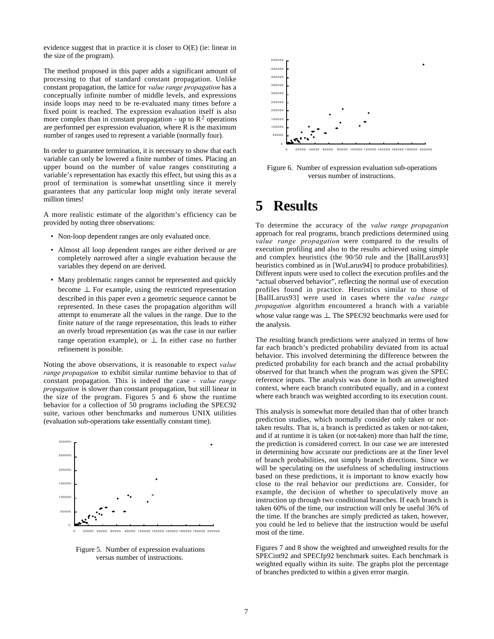evidence suggest that in practice it is closer to O(E) (ie: linear in the size of the program).

The method proposed in this paper adds a significant amount of processing to that of standard constant propagation. Unlike constant propagation, the lattice for *value range propagation* has a conceptually infinite number of middle levels, and expressions inside loops may need to be re-evaluated many times before a fixed point is reached. The expression evaluation itself is also more complex than in constant propagation - up to  $\mathbb{R}^2$  operations are performed per expression evaluation, where R is the maximum number of ranges used to represent a variable (normally four).

In order to guarantee termination, it is necessary to show that each variable can only be lowered a finite number of times. Placing an upper bound on the number of value ranges constituting a variable's representation has exactly this effect, but using this as a proof of termination is somewhat unsettling since it merely guarantees that any particular loop might only iterate several million times!

A more realistic estimate of the algorithm's efficiency can be provided by noting three observations:

- Non-loop dependent ranges are only evaluated once.
- Almost all loop dependent ranges are either derived or are completely narrowed after a single evaluation because the variables they depend on are derived.
- Many problematic ranges cannot be represented and quickly become ⊥. For example, using the restricted representation described in this paper even a geometric sequence cannot be represented. In these cases the propagation algorithm will attempt to enumerate all the values in the range. Due to the finite nature of the range representation, this leads to either an overly broad representation (as was the case in our earlier range operation example), or ⊥. In either case no further refinement is possible.

Noting the above observations, it is reasonable to expect *value range propagation* to exhibit similar runtime behavior to that of constant propagation. This is indeed the case - *value range propagation* is slower than constant propagation, but still linear in the size of the program. Figures 5 and 6 show the runtime behavior for a collection of 50 programs including the SPEC92 suite, various other benchmarks and numerous UNIX utilities (evaluation sub-operations take essentially constant time).



Figure 5. Number of expression evaluations versus number of instructions.



Figure 6. Number of expression evaluation sub-operations versus number of instructions.

# **5 Results**

To determine the accuracy of the *value range propagation* approach for real programs, branch predictions determined using *value range propagation* were compared to the results of execution profiling and also to the results achieved using simple and complex heuristics (the 90/50 rule and the [BallLarus93] heuristics combined as in [WuLarus94] to produce probabilities). Different inputs were used to collect the execution profiles and the "actual observed behavior", reflecting the normal use of execution profiles found in practice. Heuristics similar to those of [BallLarus93] were used in cases where the *value range propagation* algorithm encountered a branch with a variable whose value range was ⊥. The SPEC92 benchmarks were used for the analysis.

The resulting branch predictions were analyzed in terms of how far each branch's predicted probability deviated from its actual behavior. This involved determining the difference between the predicted probability for each branch and the actual probability observed for that branch when the program was given the SPEC reference inputs. The analysis was done in both an unweighted context, where each branch contributed equally, and in a context where each branch was weighted according to its execution count.

This analysis is somewhat more detailed than that of other branch prediction studies, which normally consider only taken or nottaken results. That is, a branch is predicted as taken or not-taken, and if at runtime it is taken (or not-taken) more than half the time, the prediction is considered correct. In our case we are interested in determining how accurate our predictions are at the finer level of branch probabilities, not simply branch directions. Since we will be speculating on the usefulness of scheduling instructions based on these predictions, it is important to know exactly how close to the real behavior our predictions are. Consider, for example, the decision of whether to speculatively move an instruction up through two conditional branches. If each branch is taken 60% of the time, our instruction will only be useful 36% of the time. If the branches are simply predicted as taken, however, you could be led to believe that the instruction would be useful most of the time.

Figures 7 and 8 show the weighted and unweighted results for the SPECint92 and SPECfp92 benchmark suites. Each benchmark is weighted equally within its suite. The graphs plot the percentage of branches predicted to within a given error margin.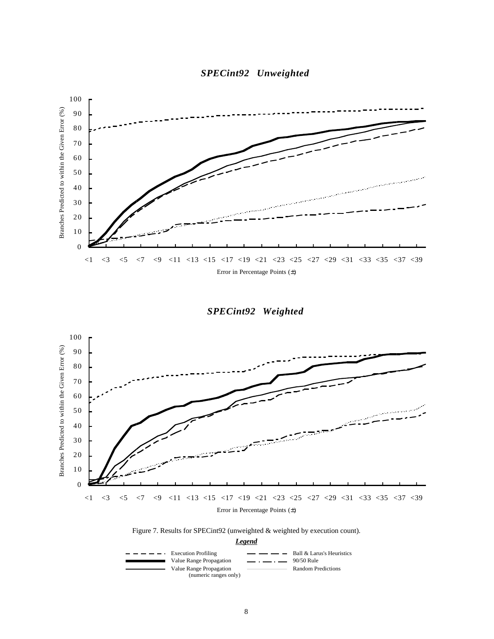



*SPECint92 Weighted*





*Legend*

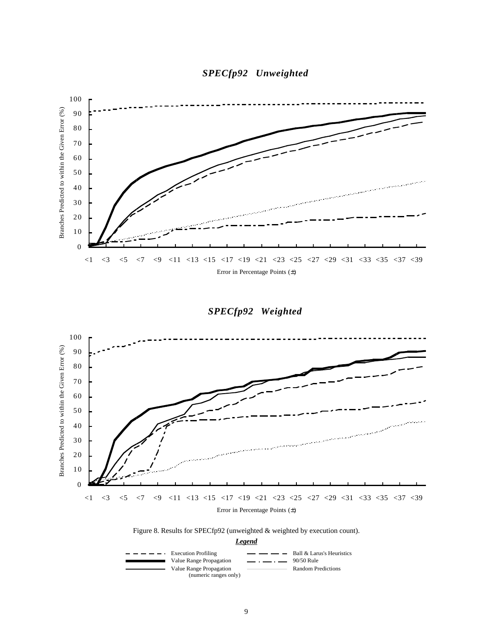



*SPECfp92 Weighted*





*Legend*

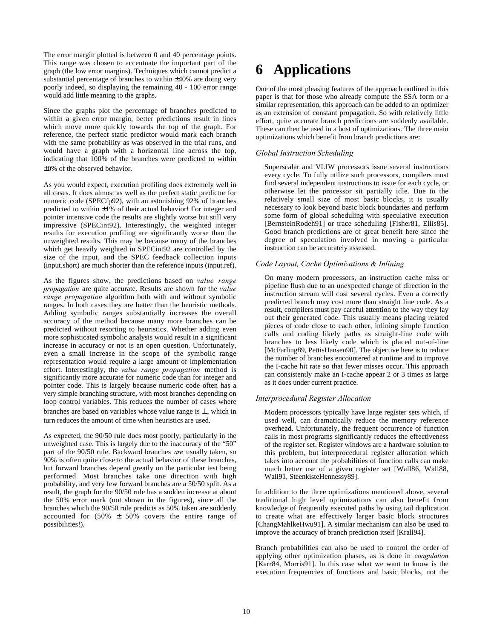The error margin plotted is between 0 and 40 percentage points. This range was chosen to accentuate the important part of the graph (the low error margins). Techniques which cannot predict a substantial percentage of branches to within ±40% are doing very poorly indeed, so displaying the remaining 40 - 100 error range would add little meaning to the graphs.

Since the graphs plot the percentage of branches predicted to within a given error margin, better predictions result in lines which move more quickly towards the top of the graph. For reference, the perfect static predictor would mark each branch with the same probability as was observed in the trial runs, and would have a graph with a horizontal line across the top, indicating that 100% of the branches were predicted to within ±0% of the observed behavior.

As you would expect, execution profiling does extremely well in all cases. It does almost as well as the perfect static predictor for numeric code (SPECfp92), with an astonishing 92% of branches predicted to within ±1% of their actual behavior! For integer and pointer intensive code the results are slightly worse but still very impressive (SPECint92). Interestingly, the weighted integer results for execution profiling are significantly worse than the unweighted results. This may be because many of the branches which get heavily weighted in SPECint92 are controlled by the size of the input, and the SPEC feedback collection inputs (input.short) are much shorter than the reference inputs (input.ref).

As the figures show, the predictions based on *value range propagation* are quite accurate. Results are shown for the *value range propagation* algorithm both with and without symbolic ranges. In both cases they are better than the heuristic methods. Adding symbolic ranges substantially increases the overall accuracy of the method because many more branches can be predicted without resorting to heuristics. Whether adding even more sophisticated symbolic analysis would result in a significant increase in accuracy or not is an open question. Unfortunately, even a small increase in the scope of the symbolic range representation would require a large amount of implementation effort. Interestingly, the *value range propagation* method is significantly more accurate for numeric code than for integer and pointer code. This is largely because numeric code often has a very simple branching structure, with most branches depending on loop control variables. This reduces the number of cases where branches are based on variables whose value range is ⊥, which in turn reduces the amount of time when heuristics are used.

As expected, the 90/50 rule does most poorly, particularly in the unweighted case. This is largely due to the inaccuracy of the "50" part of the 90/50 rule. Backward branches *are* usually taken, so 90% is often quite close to the actual behavior of these branches, but forward branches depend greatly on the particular test being performed. Most branches take one direction with high probability, and very few forward branches are a 50/50 split. As a result, the graph for the 90/50 rule has a sudden increase at about the 50% error mark (not shown in the figures), since all the branches which the 90/50 rule predicts as 50% taken are suddenly accounted for  $(50\% \pm 50\%$  covers the entire range of possibilities!).

# **6 Applications**

One of the most pleasing features of the approach outlined in this paper is that for those who already compute the SSA form or a similar representation, this approach can be added to an optimizer as an extension of constant propagation. So with relatively little effort, quite accurate branch predictions are suddenly available. These can then be used in a host of optimizations. The three main optimizations which benefit from branch predictions are:

### *Global Instruction Scheduling*

Superscalar and VLIW processors issue several instructions every cycle. To fully utilize such processors, compilers must find several independent instructions to issue for each cycle, or otherwise let the processor sit partially idle. Due to the relatively small size of most basic blocks, it is usually necessary to look beyond basic block boundaries and perform some form of global scheduling with speculative execution [BernsteinRodeh91] or trace scheduling [Fisher81, Ellis85]. Good branch predictions are of great benefit here since the degree of speculation involved in moving a particular instruction can be accurately assessed.

### *Code Layout, Cache Optimizations & Inlining*

On many modern processors, an instruction cache miss or pipeline flush due to an unexpected change of direction in the instruction stream will cost several cycles. Even a correctly predicted branch may cost more than straight line code. As a result, compilers must pay careful attention to the way they lay out their generated code. This usually means placing related pieces of code close to each other, inlining simple function calls and coding likely paths as straight-line code with branches to less likely code which is placed out-of-line [McFarling89, PettisHansen90]. The objective here is to reduce the number of branches encountered at runtime and to improve the I-cache hit rate so that fewer misses occur. This approach can consistently make an I-cache appear 2 or 3 times as large as it does under current practice.

### *Interprocedural Register Allocation*

Modern processors typically have large register sets which, if used well, can dramatically reduce the memory reference overhead. Unfortunately, the frequent occurrence of function calls in most programs significantly reduces the effectiveness of the register set. Register windows are a hardware solution to this problem, but interprocedural register allocation which takes into account the probabilities of function calls can make much better use of a given register set [Wall86, Wall88, Wall91, SteenkisteHennessy89].

In addition to the three optimizations mentioned above, several traditional high level optimizations can also benefit from knowledge of frequently executed paths by using tail duplication to create what are effectively larger basic block structures [ChangMahlkeHwu91]. A similar mechanism can also be used to improve the accuracy of branch prediction itself [Krall94].

Branch probabilities can also be used to control the order of applying other optimization phases, as is done in *coagulation* [Karr84, Morris91]. In this case what we want to know is the execution frequencies of functions and basic blocks, not the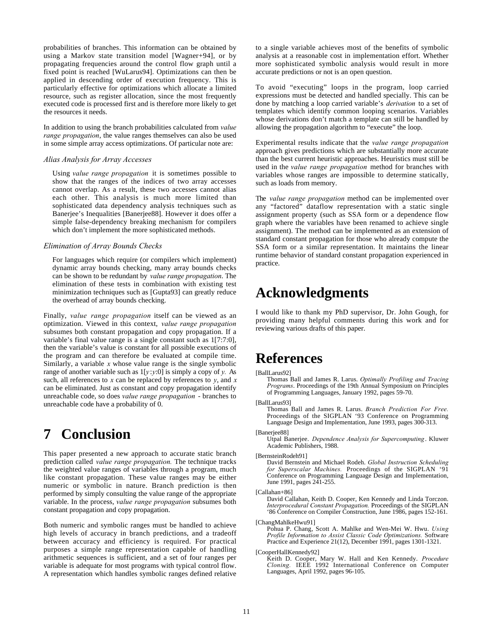probabilities of branches. This information can be obtained by using a Markov state transition model [Wagner+94], or by propagating frequencies around the control flow graph until a fixed point is reached [WuLarus94]. Optimizations can then be applied in descending order of execution frequency. This is particularly effective for optimizations which allocate a limited resource, such as register allocation, since the most frequently executed code is processed first and is therefore more likely to get the resources it needs.

In addition to using the branch probabilities calculated from *value range propagation*, the value ranges themselves can also be used in some simple array access optimizations. Of particular note are:

### *Alias Analysis for Array Accesses*

Using *value range propagation* it is sometimes possible to show that the ranges of the indices of two array accesses cannot overlap. As a result, these two accesses cannot alias each other. This analysis is much more limited than sophisticated data dependency analysis techniques such as Banerjee's Inequalities [Banerjee88]. However it does offer a simple false-dependency breaking mechanism for compilers which don't implement the more sophisticated methods.

### *Elimination of Array Bounds Checks*

For languages which require (or compilers which implement) dynamic array bounds checking, many array bounds checks can be shown to be redundant by *value range propagation*. The elimination of these tests in combination with existing test minimization techniques such as [Gupta93] can greatly reduce the overhead of array bounds checking.

Finally, *value range propagation* itself can be viewed as an optimization. Viewed in this context, *value range propagation* subsumes both constant propagation and copy propagation. If a variable's final value range is a single constant such as 1[7:7:0], then the variable's value is constant for all possible executions of the program and can therefore be evaluated at compile time. Similarly, a variable *x* whose value range is the single symbolic range of another variable such as 1[*y*:*y*:0] is simply a copy of *y.* As such, all references to *x* can be replaced by references to *y*, and *x* can be eliminated. Just as constant and copy propagation identify unreachable code, so does *value range propagation* - branches to unreachable code have a probability of 0.

# **7 Conclusion**

This paper presented a new approach to accurate static branch prediction called *value range propagation.* The technique tracks the weighted value ranges of variables through a program, much like constant propagation. These value ranges may be either numeric or symbolic in nature. Branch prediction is then performed by simply consulting the value range of the appropriate variable. In the process, *value range propagation* subsumes both constant propagation and copy propagation.

Both numeric and symbolic ranges must be handled to achieve high levels of accuracy in branch predictions, and a tradeoff between accuracy and efficiency is required. For practical purposes a simple range representation capable of handling arithmetic sequences is sufficient, and a set of four ranges per variable is adequate for most programs with typical control flow. A representation which handles symbolic ranges defined relative to a single variable achieves most of the benefits of symbolic analysis at a reasonable cost in implementation effort. Whether more sophisticated symbolic analysis would result in more accurate predictions or not is an open question.

To avoid "executing" loops in the program, loop carried expressions must be detected and handled specially. This can be done by matching a loop carried variable's *derivation* to a set of templates which identify common looping scenarios. Variables whose derivations don't match a template can still be handled by allowing the propagation algorithm to "execute" the loop.

Experimental results indicate that the *value range propagation* approach gives predictions which are substantially more accurate than the best current heuristic approaches. Heuristics must still be used in the *value range propagation* method for branches with variables whose ranges are impossible to determine statically, such as loads from memory.

The *value range propagation* method can be implemented over any "factored" dataflow representation with a static single assignment property (such as SSA form or a dependence flow graph where the variables have been renamed to achieve single assignment). The method can be implemented as an extension of standard constant propagation for those who already compute the SSA form or a similar representation. It maintains the linear runtime behavior of standard constant propagation experienced in practice.

# **Acknowledgments**

I would like to thank my PhD supervisor, Dr. John Gough, for providing many helpful comments during this work and for reviewing various drafts of this paper.

## **References**

#### [BallLarus92]

Thomas Ball and James R. Larus. *Optimally Profiling and Tracing Programs*. Proceedings of the 19th Annual Symposium on Principles of Programming Languages, January 1992, pages 59-70.

[BallLarus93]

Thomas Ball and James R. Larus. *Branch Prediction For Free.* Proceedings of the SIGPLAN '93 Conference on Programming Language Design and Implementation, June 1993, pages 300-313.

#### [Banerjee88]

Utpal Banerjee. *Dependence Analysis for Supercomputing*. Kluwer Academic Publishers, 1988.

David Bernstein and Michael Rodeh. *Global Instruction Scheduling for Superscalar Machines.* Proceedings of the SIGPLAN '91 Conference on Programming Language Design and Implementation, June 1991, pages 241-255.

[Callahan+86]

David Callahan, Keith D. Cooper, Ken Kennedy and Linda Torczon. *Interprocedural Constant Propagation.* Proceedings of the SIGPLAN '86 Conference on Compiler Construction, June 1986, pages 152-161.

[ChangMahlkeHwu91]

Pohua P. Chang, Scott A. Mahlke and Wen-Mei W. Hwu. *Using Profile Information to Assist Classic Code Optimizations.* Software Practice and Experience 21(12), December 1991, pages 1301-1321.

[CooperHallKennedy92]

Keith D. Cooper, Mary W. Hall and Ken Kennedy. *Procedure Cloning.* IEEE 1992 International Conference on Computer Languages, April 1992, pages 96-105.

<sup>[</sup>BernsteinRodeh91]